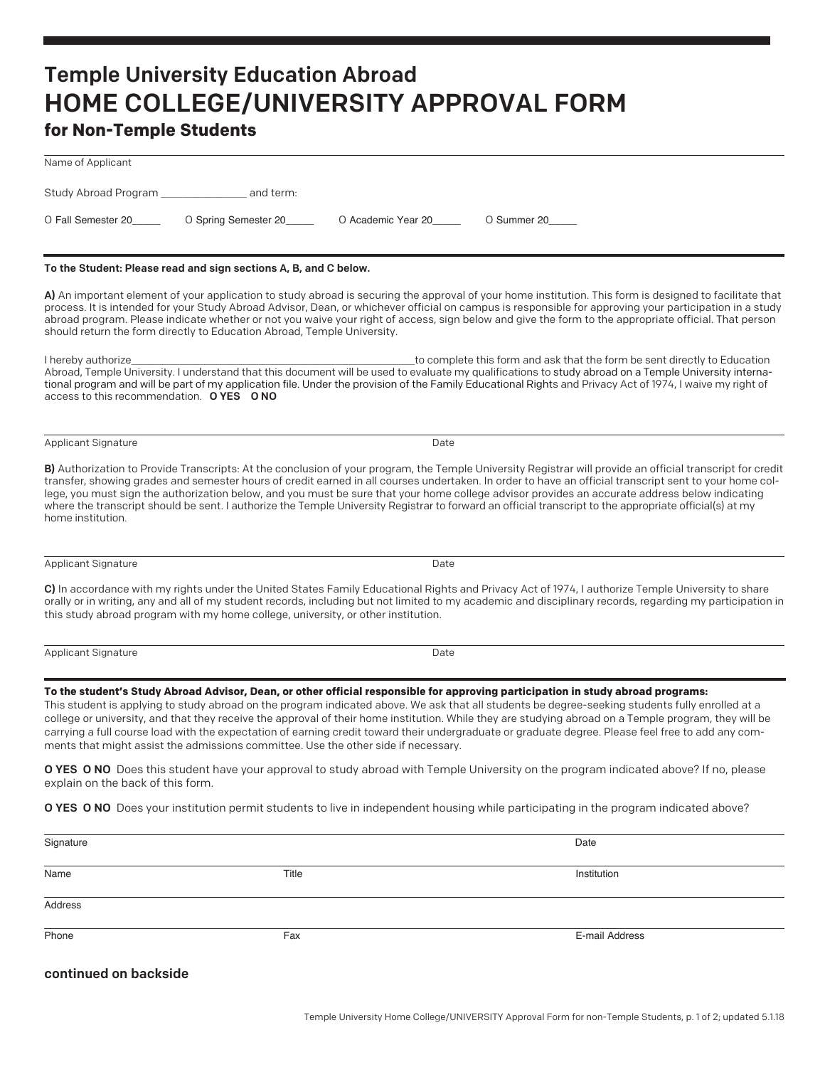## Temple University Education Abroad HOME COLLEGE/UNIVERSITY APPROVAL FORM

## **for Non-Temple Students**

| Name of Applicant                                             |                                                                                    |                    |                                                                                                                                                                                                                                                                                                                                                                                                                                                                                                                                                                                                                                   |
|---------------------------------------------------------------|------------------------------------------------------------------------------------|--------------------|-----------------------------------------------------------------------------------------------------------------------------------------------------------------------------------------------------------------------------------------------------------------------------------------------------------------------------------------------------------------------------------------------------------------------------------------------------------------------------------------------------------------------------------------------------------------------------------------------------------------------------------|
| Study Abroad Program _                                        | and term:                                                                          |                    |                                                                                                                                                                                                                                                                                                                                                                                                                                                                                                                                                                                                                                   |
| O Fall Semester 20                                            | O Spring Semester 20                                                               | O Academic Year 20 | O Summer 20                                                                                                                                                                                                                                                                                                                                                                                                                                                                                                                                                                                                                       |
|                                                               | To the Student: Please read and sign sections A, B, and C below.                   |                    |                                                                                                                                                                                                                                                                                                                                                                                                                                                                                                                                                                                                                                   |
|                                                               | should return the form directly to Education Abroad, Temple University.            |                    | A) An important element of your application to study abroad is securing the approval of your home institution. This form is designed to facilitate that<br>process. It is intended for your Study Abroad Advisor, Dean, or whichever official on campus is responsible for approving your participation in a study<br>abroad program. Please indicate whether or not you waive your right of access, sign below and give the form to the appropriate official. That person                                                                                                                                                        |
| I hereby authorize<br>access to this recommendation. OYES ONO |                                                                                    |                    | to complete this form and ask that the form be sent directly to Education<br>Abroad, Temple University. I understand that this document will be used to evaluate my qualifications to study abroad on a Temple University interna-<br>tional program and will be part of my application file. Under the provision of the Family Educational Rights and Privacy Act of 1974, I waive my right of                                                                                                                                                                                                                                   |
| <b>Applicant Signature</b>                                    |                                                                                    | Date               |                                                                                                                                                                                                                                                                                                                                                                                                                                                                                                                                                                                                                                   |
| home institution.                                             |                                                                                    |                    | B) Authorization to Provide Transcripts: At the conclusion of your program, the Temple University Registrar will provide an official transcript for credit<br>transfer, showing grades and semester hours of credit earned in all courses undertaken. In order to have an official transcript sent to your home col-<br>lege, you must sign the authorization below, and you must be sure that your home college advisor provides an accurate address below indicating<br>where the transcript should be sent. I authorize the Temple University Registrar to forward an official transcript to the appropriate official(s) at my |
| Applicant Signature                                           |                                                                                    | Date               |                                                                                                                                                                                                                                                                                                                                                                                                                                                                                                                                                                                                                                   |
|                                                               | this study abroad program with my home college, university, or other institution.  |                    | C) In accordance with my rights under the United States Family Educational Rights and Privacy Act of 1974, I authorize Temple University to share<br>orally or in writing, any and all of my student records, including but not limited to my academic and disciplinary records, regarding my participation in                                                                                                                                                                                                                                                                                                                    |
| Applicant Signature                                           |                                                                                    | Date               |                                                                                                                                                                                                                                                                                                                                                                                                                                                                                                                                                                                                                                   |
|                                                               | ments that might assist the admissions committee. Use the other side if necessary. |                    | To the student's Study Abroad Advisor, Dean, or other official responsible for approving participation in study abroad programs:<br>This student is applying to study abroad on the program indicated above. We ask that all students be degree-seeking students fully enrolled at a<br>college or university, and that they receive the approval of their home institution. While they are studying abroad on a Temple program, they will be<br>carrying a full course load with the expectation of earning credit toward their undergraduate or graduate degree. Please feel free to add any com-                               |
| explain on the back of this form.                             |                                                                                    |                    | O YES O NO Does this student have your approval to study abroad with Temple University on the program indicated above? If no, please                                                                                                                                                                                                                                                                                                                                                                                                                                                                                              |
|                                                               |                                                                                    |                    | O YES O NO Does your institution permit students to live in independent housing while participating in the program indicated above?                                                                                                                                                                                                                                                                                                                                                                                                                                                                                               |
| Signature                                                     |                                                                                    |                    | Date                                                                                                                                                                                                                                                                                                                                                                                                                                                                                                                                                                                                                              |

**Address** 

Name Title Institution

Phone Fax E-mail Address Control of the Second Control of the Second Control of the Second Control of the Second Control of the Second Control of the Second Control of the Second Control of the Second Control of the Second

## continued on backside